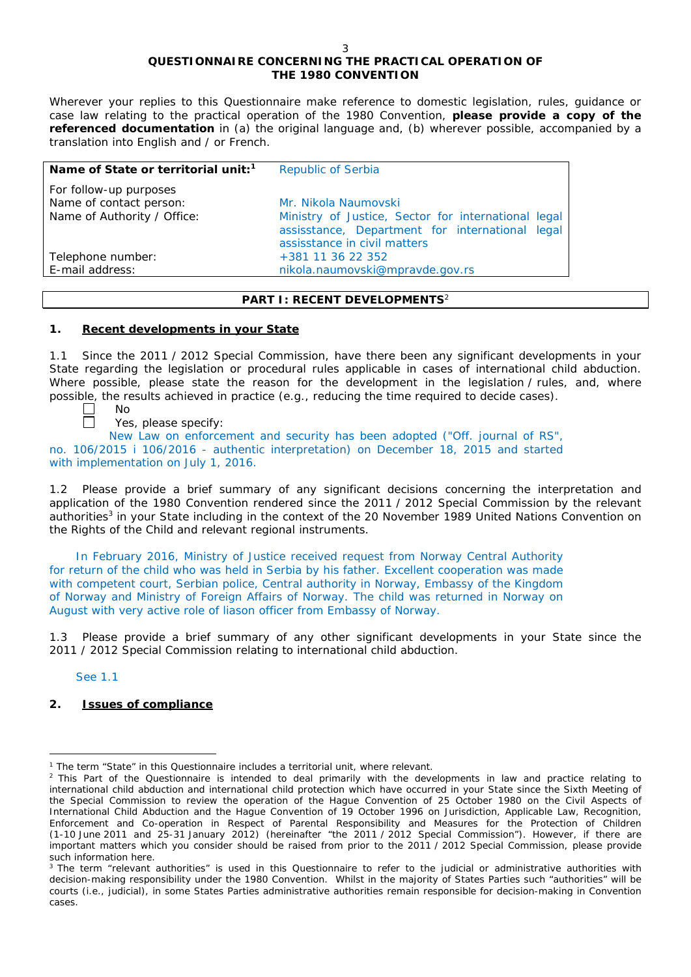# **QUESTIONNAIRE CONCERNING THE PRACTICAL OPERATION OF THE 1980 CONVENTION**

*Wherever your replies to this Questionnaire make reference to domestic legislation, rules, guidance or case law relating to the practical operation of the 1980 Convention, please provide a copy of the referenced documentation in (a) the original language and, (b) wherever possible, accompanied by a translation into English and / or French.* 

| Name of State or territorial unit: <sup>1</sup>                                  | <b>Republic of Serbia</b>                                                                                                                                      |
|----------------------------------------------------------------------------------|----------------------------------------------------------------------------------------------------------------------------------------------------------------|
| For follow-up purposes<br>Name of contact person:<br>Name of Authority / Office: | Mr. Nikola Naumovski<br>Ministry of Justice, Sector for international legal<br>assisstance, Department for international legal<br>assisstance in civil matters |
| Telephone number:<br>E-mail address:                                             | +381 11 36 22 352<br>nikola.naumovski@mpravde.gov.rs                                                                                                           |

#### **PART I: RECENT DEVELOPMENTS**<sup>2</sup>

#### **1. Recent developments in your State**

1.1 Since the 2011 / 2012 Special Commission, have there been any significant developments in your State regarding the legislation or procedural rules applicable in cases of international child abduction. Where possible, please state the reason for the development in the legislation / rules, and, where possible, the results achieved in practice (*e.g.*, reducing the time required to decide cases).

> No Yes, please specify:

 $\Box$ New Law on enforcement and security has been adopted ("Off. journal of RS", no. 106/2015 i 106/2016 - authentic interpretation) on December 18, 2015 and started with implementation on July 1, 2016.

1.2 Please provide a brief summary of any significant decisions concerning the interpretation and application of the 1980 Convention rendered since the 2011 / 2012 Special Commission by the relevant authorities<sup>3</sup> in your State including in the context of the 20 November 1989 United Nations Convention on the Rights of the Child and relevant regional instruments.

In February 2016, Ministry of Justice received request from Norway Central Authority for return of the child who was held in Serbia by his father. Excellent cooperation was made with competent court, Serbian police, Central authority in Norway, Embassy of the Kingdom of Norway and Ministry of Foreign Affairs of Norway. The child was returned in Norway on August with very active role of liason officer from Embassy of Norway.

1.3 Please provide a brief summary of any other significant developments in your State since the 2011 / 2012 Special Commission relating to international child abduction.

See 1.1

## **2. Issues of compliance**

 $\overline{a}$ <sup>1</sup> The term "State" in this Questionnaire includes a territorial unit, where relevant.

<sup>&</sup>lt;sup>2</sup> This Part of the Questionnaire is intended to deal primarily with the developments in law and practice relating to international child abduction and international child protection which have occurred in your State since the Sixth Meeting of the Special Commission to review the operation of the *Hague Convention of 25 October 1980 on the Civil Aspects of International Child Abduction* and the *Hague Convention of 19 October 1996 on Jurisdiction, Applicable Law, Recognition, Enforcement and Co-operation in Respect of Parental Responsibility and Measures for the Protection of Children* (1-10 June 2011 and 25-31 January 2012) (hereinafter "the 2011 / 2012 Special Commission"). However, if there are important matters which you consider should be raised from *prior to* the 2011 / 2012 Special Commission, please provide such information here.

<sup>&</sup>lt;sup>3</sup> The term "relevant authorities" is used in this Questionnaire to refer to the judicial or administrative authorities with decision-making responsibility under the 1980 Convention. Whilst in the majority of States Parties such "authorities" will be courts (*i.e.*, judicial), in some States Parties administrative authorities remain responsible for decision-making in Convention cases.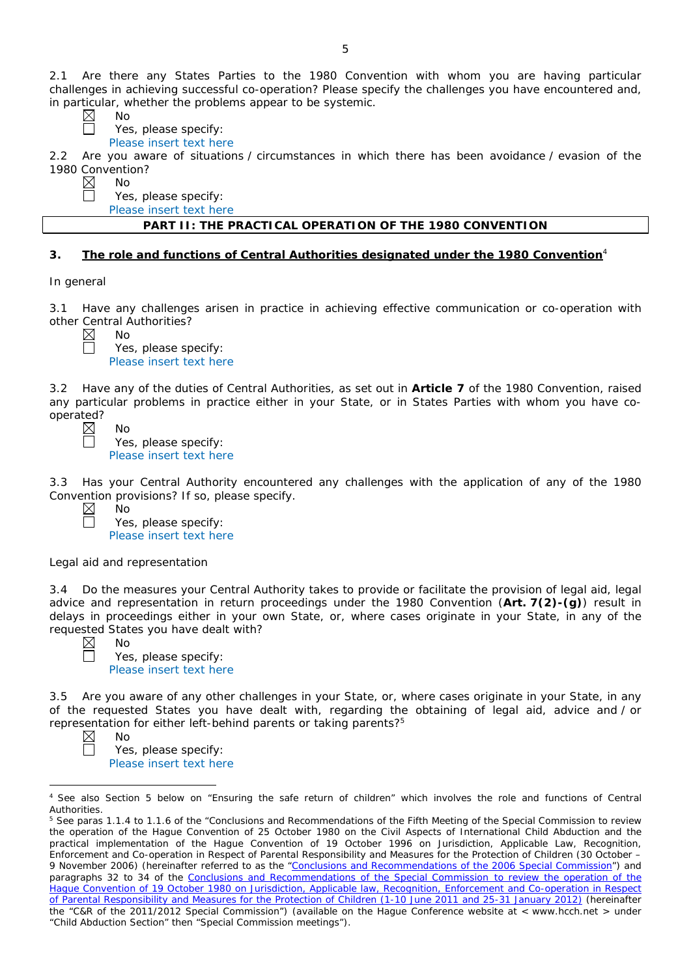2.1 Are there any States Parties to the 1980 Convention with whom you are having particular challenges in achieving successful co-operation? Please specify the challenges you have encountered and, in particular, whether the problems appear to be systemic.

No

Yes, please specify:

Please insert text here

2.2 Are you aware of situations / circumstances in which there has been avoidance / evasion of the 1980 Convention?

 $\boxtimes$ No  $\Box$ 

Yes, please specify:

Please insert text here

### **PART II: THE PRACTICAL OPERATION OF THE 1980 CONVENTION**

#### **3. The role and functions of Central Authorities designated under the 1980 Convention**<sup>4</sup>

*In general*

3.1 Have any challenges arisen in practice in achieving effective communication or co-operation with other Central Authorities?

No Yes, please specify: Please insert text here

3.2 Have any of the duties of Central Authorities, as set out in **Article 7** of the 1980 Convention, raised any particular problems in practice either in your State, or in States Parties with whom you have cooperated?

 $N<sub>0</sub>$ Yes, please specify: Please insert text here

3.3 Has your Central Authority encountered any challenges with the application of any of the 1980 Convention provisions? If so, please specify.

No Yes, please specify: Please insert text here

#### *Legal aid and representation*

3.4 Do the measures your Central Authority takes to provide or facilitate the provision of legal aid, legal advice and representation in return proceedings under the 1980 Convention (**Art. 7(2)-(g)**) result in delays in proceedings either in your own State, or, where cases originate in your State, in any of the requested States you have dealt with?

No Yes, please specify: Please insert text here

3.5 Are you aware of any other challenges in your State, or, where cases originate in your State, in any of the requested States you have dealt with, regarding the obtaining of legal aid, advice and / or representation for either left-behind parents or taking parents?5

No

Yes, please specify: Please insert text here

 $\overline{a}$ <sup>4</sup> See also Section 5 below on "Ensuring the safe return of children" which involves the role and functions of Central **Authorities** 

<sup>&</sup>lt;sup>5</sup> See paras 1.1.4 to 1.1.6 of the "Conclusions and Recommendations of the Fifth Meeting of the Special Commission to review the operation of the *Hague Convention of 25 October 1980 on the Civil Aspects of International Child Abduction* and the practical implementation of the *Hague Convention of 19 October 1996 on Jurisdiction, Applicable Law, Recognition, Enforcement and Co-operation in Respect of Parental Responsibility and Measures for the Protection of Children* (30 October – 9 November 2006) (hereinafter referred to as the ["Conclusions and Recommendations of the 2006 Special Commission"](https://assets.hcch.net/upload/concl28sc5_e.pdf)) and paragraphs 32 to 34 of the [Conclusions and Recommendations of the Special Commission](https://assets.hcch.net/upload/wop/concl28sc6_e.pdf) to review the operation of the Hague Convention of *19 October 1980 on Jurisdiction, Applicable law, [Recognition, Enforcement and Co-operation in Respect](https://assets.hcch.net/upload/wop/concl28sc6_e.pdf)  [of Parental Responsibility and Measures for the Protection of Children](https://assets.hcch.net/upload/wop/concl28sc6_e.pdf)* (1-10 June 2011 and 25-31 January 2012) (hereinafter the "C&R of the 2011/2012 Special Commission") (available on the Hague Conference website at < www.hcch.net > under "Child Abduction Section" then "Special Commission meetings").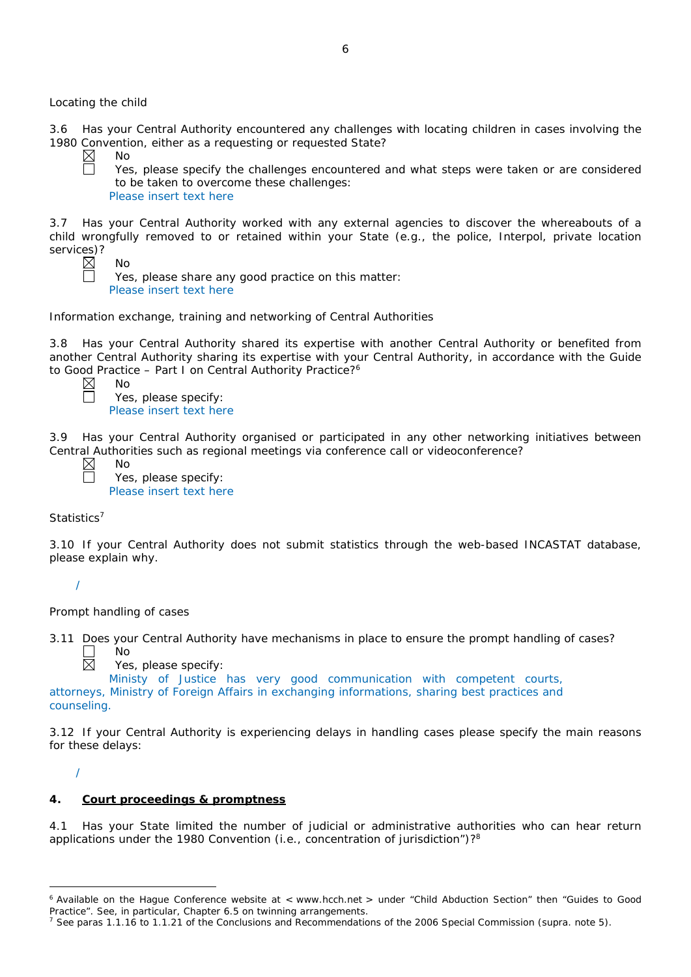*Locating the child*

3.6 Has your Central Authority encountered any challenges with locating children in cases involving the 1980 Convention, either as a requesting or requested State?

 $\boxtimes$ No

 $\Box$ 

Yes, please specify the challenges encountered and what steps were taken or are considered to be taken to overcome these challenges: Please insert text here

3.7 Has your Central Authority worked with any external agencies to discover the whereabouts of a child wrongfully removed to or retained within your State (*e.g.*, the police, Interpol, private location services)?

No

Yes, please share any good practice on this matter: Please insert text here

*Information exchange, training and networking of Central Authorities*

3.8 Has your Central Authority shared its expertise with another Central Authority or benefited from another Central Authority sharing its expertise with your Central Authority, in accordance with the Guide to Good Practice – Part I on Central Authority Practice?<sup>6</sup>

No Yes, please specify: Please insert text here

3.9 Has your Central Authority organised or participated in any other networking initiatives between Central Authorities such as regional meetings via conference call or videoconference?

Yes, please specify: Please insert text here

*Statistics*<sup>7</sup>

3.10 If your Central Authority does not submit statistics through the web-based INCASTAT database, please explain why.

/

*Prompt handling of cases*

No

3.11 Does your Central Authority have mechanisms in place to ensure the prompt handling of cases? No  $\boxtimes$ 

Yes, please specify:

Ministy of Justice has very good communication with competent courts, attorneys, Ministry of Foreign Affairs in exchanging informations, sharing best practices and counseling.

3.12 If your Central Authority is experiencing delays in handling cases please specify the main reasons for these delays:

/

# **4. Court proceedings & promptness**

4.1 Has your State limited the number of judicial or administrative authorities who can hear return applications under the 1980 Convention (*i.e.*, concentration of jurisdiction")?8

 $\overline{a}$ <sup>6</sup> Available on the Hague Conference website at < www.hcch.net > under "Child Abduction Section" then "Guides to Good Practice". See, in particular, Chapter 6.5 on twinning arrangements.

<sup>7</sup> See paras 1.1.16 to 1.1.21 of the Conclusions and Recommendations of the 2006 Special Commission (*supra.* note 5).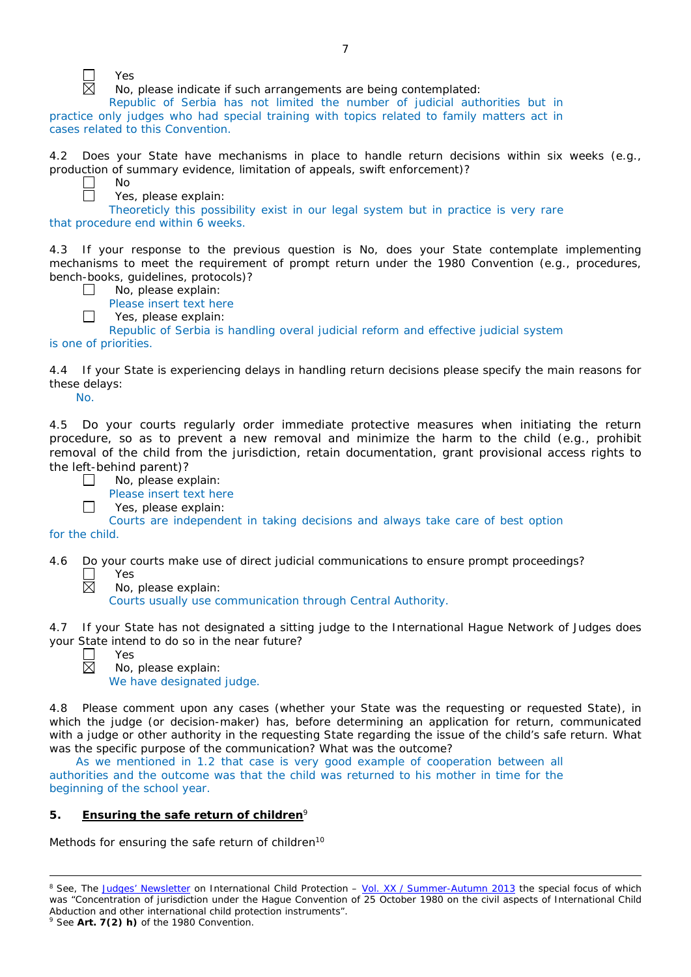

Yes

No

No, please indicate if such arrangements are being contemplated:

Republic of Serbia has not limited the number of judicial authorities but in practice only judges who had special training with topics related to family matters act in cases related to this Convention.

4.2 Does your State have mechanisms in place to handle return decisions within six weeks (*e.g.*, production of summary evidence, limitation of appeals, swift enforcement)?

Yes, please explain:

Theoreticly this possibility exist in our legal system but in practice is very rare that procedure end within 6 weeks.

4.3 If your response to the previous question is No, does your State contemplate implementing mechanisms to meet the requirement of prompt return under the 1980 Convention (*e.g.*, procedures, bench-books, guidelines, protocols)?  $\Box$ 

- No, please explain:
- Please insert text here
- Yes, please explain:

Republic of Serbia is handling overal judicial reform and effective judicial system

is one of priorities.

 $\Box$ 

4.4 If your State is experiencing delays in handling return decisions please specify the main reasons for these delays:

No.

4.5 Do your courts regularly order immediate protective measures when initiating the return procedure, so as to prevent a new removal and minimize the harm to the child (*e.g.*, prohibit removal of the child from the jurisdiction, retain documentation, grant provisional access rights to the left-behind parent)?

|                | No, please explain:                                                            |
|----------------|--------------------------------------------------------------------------------|
|                | Please insert text here                                                        |
|                | Yes, please explain:                                                           |
|                | Courts are independent in taking decisions and always take care of best option |
| for the child. |                                                                                |

4.6 Do your courts make use of direct judicial communications to ensure prompt proceedings?

Yes

Courts usually use communication through Central Authority.

4.7 If your State has not designated a sitting judge to the International Hague Network of Judges does your State intend to do so in the near future?

 $\overline{a}$ 

Yes No, please explain: We have designated judge.

No, please explain:

4.8 Please comment upon any cases (whether your State was the requesting or requested State), in which the judge (or decision-maker) has, before determining an application for return, communicated with a judge or other authority in the requesting State regarding the issue of the child's safe return. What was the specific purpose of the communication? What was the outcome?

As we mentioned in 1.2 that case is very good example of cooperation between all authorities and the outcome was that the child was returned to his mother in time for the beginning of the school year.

## **5. Ensuring the safe return of children**<sup>9</sup>

*Methods for ensuring the safe return of children*<sup>10</sup>

<sup>&</sup>lt;sup>8</sup> See, *The [Judges' Newsletter](https://www.hcch.net/en/instruments/conventions/publications2/judges-newsletter)* on International Child Protection – Vol. XX / [Summer-Autumn 2013](https://assets.hcch.net/upload/newsletter/nl2013tome20en.pdf) the special focus of which was "Concentration of jurisdiction under the *Hague Convention of 25 October 1980 on the civil aspects of International Child Abduction* and other international child protection instruments".

<sup>9</sup> See **Art. 7(2)** *h)* of the 1980 Convention.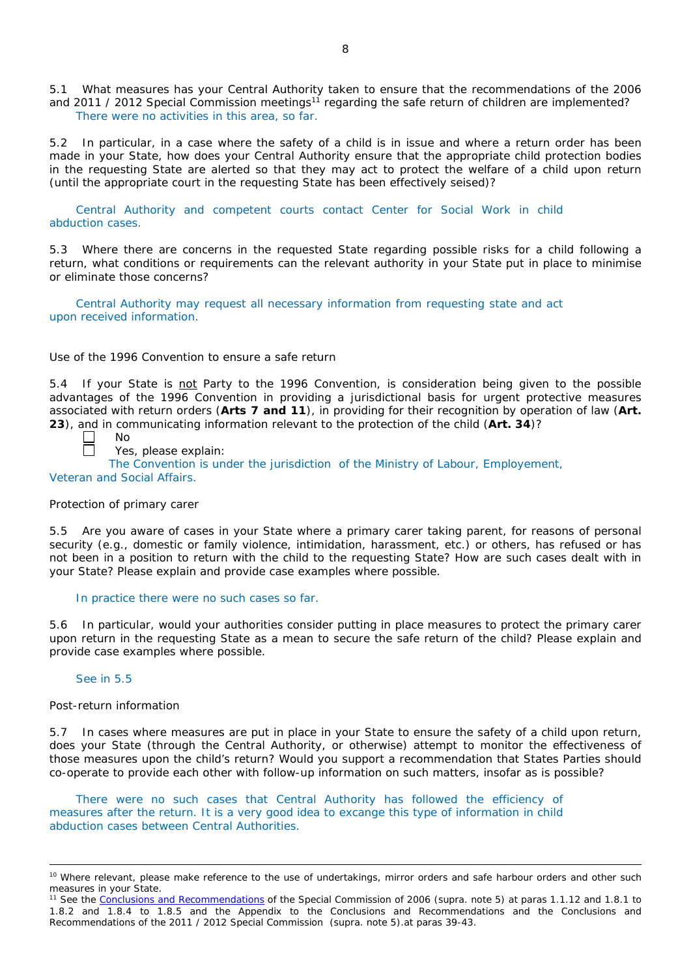5.1 What measures has your Central Authority taken to ensure that the recommendations of the 2006 and 2011 / 2012 Special Commission meetings<sup>11</sup> regarding the safe return of children are implemented? There were no activities in this area, so far.

5.2 In particular, in a case where the safety of a child is in issue and where a return order has been made in your State, how does your Central Authority ensure that the appropriate child protection bodies in the *requesting* State are alerted so that they may act to protect the welfare of a child upon return (until the appropriate court in the requesting State has been effectively seised)?

Central Authority and competent courts contact Center for Social Work in child abduction cases.

5.3 Where there are concerns in the requested State regarding possible risks for a child following a return, what conditions or requirements can the relevant authority in your State put in place to minimise or eliminate those concerns?

Central Authority may request all necessary information from requesting state and act upon received information.

#### *Use of the 1996 Convention to ensure a safe return*

5.4 If your State is not Party to the 1996 Convention, is consideration being given to the possible advantages of the 1996 Convention in providing a jurisdictional basis for urgent protective measures associated with return orders (**Arts 7 and 11**), in providing for their recognition by operation of law (**Art. 23**), and in communicating information relevant to the protection of the child (**Art. 34**)?

 $\Box$ П

Yes, please explain:

The Convention is under the jurisdiction of the Ministry of Labour, Employement,

Veteran and Social Affairs.

No

#### *Protection of primary carer*

5.5 Are you aware of cases in your State where a primary carer taking parent, for reasons of personal security (*e.g.*, domestic or family violence, intimidation, harassment, etc.) or others, has refused or has not been in a position to return with the child to the requesting State? How are such cases dealt with in your State? Please explain and provide case examples where possible.

#### In practice there were no such cases so far.

5.6 In particular, would your authorities consider putting in place measures to protect the primary carer upon return in the requesting State as a mean to secure the safe return of the child? Please explain and provide case examples where possible.

#### See in 5.5

 $\overline{a}$ 

#### *Post-return information*

5.7 In cases where measures are put in place in your State to ensure the safety of a child upon return, does your State (through the Central Authority, or otherwise) attempt to monitor the effectiveness of those measures upon the child's return? Would you support a recommendation that States Parties should co-operate to provide each other with follow-up information on such matters, insofar as is possible?

There were no such cases that Central Authority has followed the efficiency of measures after the return. It is a very good idea to excange this type of information in child abduction cases between Central Authorities.

<sup>&</sup>lt;sup>10</sup> Where relevant, please make reference to the use of undertakings, mirror orders and safe harbour orders and other such measures in your State.

<sup>11</sup> See the [Conclusions and Recommendations](https://assets.hcch.net/upload/concl28sc5_e.pdf) of the Special Commission of 2006 (*supra.* note 5) at paras 1.1.12 and 1.8.1 to 1.8.2 and 1.8.4 to 1.8.5 and the Appendix to the Conclusions and Recommendations and the [Conclusions and](https://assets.hcch.net/upload/wop/concl28sc6_e.pdf)  [Recommendations of the 2011](https://assets.hcch.net/upload/wop/concl28sc6_e.pdf) / 2012 Special Commission (*supra.* note 5).at paras 39-43.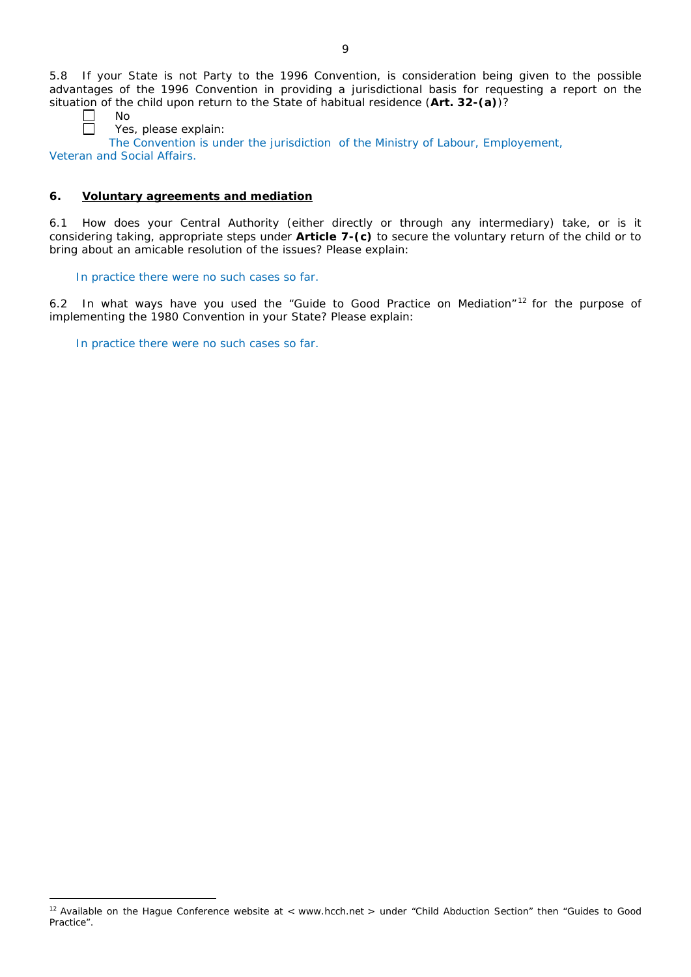5.8 If your State is not Party to the 1996 Convention, is consideration being given to the possible advantages of the 1996 Convention in providing a jurisdictional basis for requesting a report on the situation of the child upon return to the State of habitual residence (**Art. 32-(a)**)?

 $\overline{a}$ 

No

Yes, please explain:

The Convention is under the jurisdiction of the Ministry of Labour, Employement, Veteran and Social Affairs.

# **6. Voluntary agreements and mediation**

6.1 How does your Central Authority (either directly or through any intermediary) take, or is it considering taking, appropriate steps under **Article 7-(c)** to secure the voluntary return of the child or to bring about an amicable resolution of the issues? Please explain:

# In practice there were no such cases so far.

6.2 In what ways have you used the "Guide to Good Practice on Mediation" <sup>12</sup> for the purpose of implementing the 1980 Convention in your State? Please explain:

In practice there were no such cases so far.

 $12$  Available on the Hague Conference website at < www.hcch.net > under "Child Abduction Section" then "Guides to Good Practice".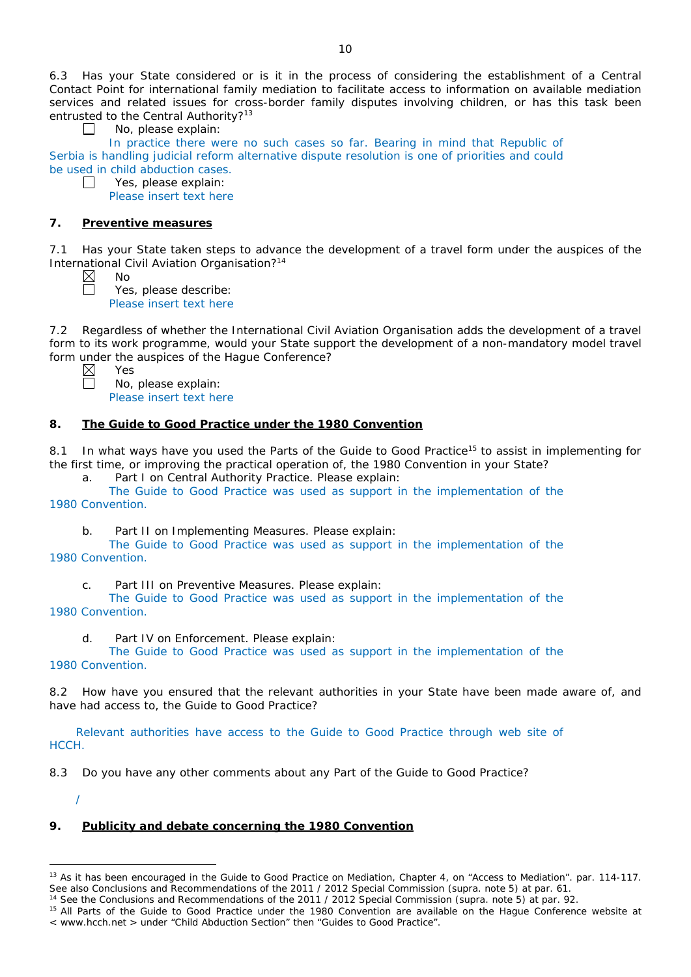6.3 Has your State considered or is it in the process of considering the establishment of a Central Contact Point for international family mediation to facilitate access to information on available mediation services and related issues for cross-border family disputes involving children, or has this task been entrusted to the Central Authority?<sup>13</sup>

No, please explain:

In practice there were no such cases so far. Bearing in mind that Republic of Serbia is handling judicial reform alternative dispute resolution is one of priorities and could be used in child abduction cases.

 $\Box$ Yes, please explain: Please insert text here

#### **7. Preventive measures**

7.1 Has your State taken steps to advance the development of a travel form under the auspices of the International Civil Aviation Organisation?14

 $\perp$ 

No Yes, please describe: Please insert text here

7.2 Regardless of whether the International Civil Aviation Organisation adds the development of a travel form to its work programme, would your State support the development of a non-mandatory model travel form under the auspices of the Hague Conference?

Yes

No, please explain: Please insert text here

#### **8. The Guide to Good Practice under the 1980 Convention**

8.1 In what ways have you used the Parts of the Guide to Good Practice<sup>15</sup> to assist in implementing for the first time, or improving the practical operation of, the 1980 Convention in your State?

a. Part I on Central Authority Practice. Please explain:

The Guide to Good Practice was used as support in the implementation of the 1980 Convention.

b. Part II on Implementing Measures. Please explain:

The Guide to Good Practice was used as support in the implementation of the 1980 Convention.

c. Part III on Preventive Measures. Please explain:

The Guide to Good Practice was used as support in the implementation of the 1980 Convention.

d. Part IV on Enforcement. Please explain:

The Guide to Good Practice was used as support in the implementation of the 1980 Convention.

8.2 How have you ensured that the relevant authorities in your State have been made aware of, and have had access to, the Guide to Good Practice?

Relevant authorities have access to the Guide to Good Practice through web site of HCCH.

8.3 Do you have any other comments about any Part of the Guide to Good Practice?

/

 $\overline{a}$ 

## **9. Publicity and debate concerning the 1980 Convention**

<sup>&</sup>lt;sup>13</sup> As it has been encouraged in the Guide to Good Practice on Mediation, Chapter 4, on "Access to Mediation". par. 114-117. See also [Conclusions and Recommendations of the 2011](https://assets.hcch.net/upload/wop/concl28sc6_e.pdf) / 2012 Special Commission (*supra.* note 5) at par. 61.

<sup>14</sup> See the [Conclusions and Recommendations of the 2011](https://assets.hcch.net/upload/wop/concl28sc6_e.pdf) / 2012 Special Commission (*supra.* note 5) at par. 92.

<sup>&</sup>lt;sup>15</sup> All Parts of the Guide to Good Practice under the 1980 Convention are available on the Hague Conference website at < www.hcch.net > under "Child Abduction Section" then "Guides to Good Practice".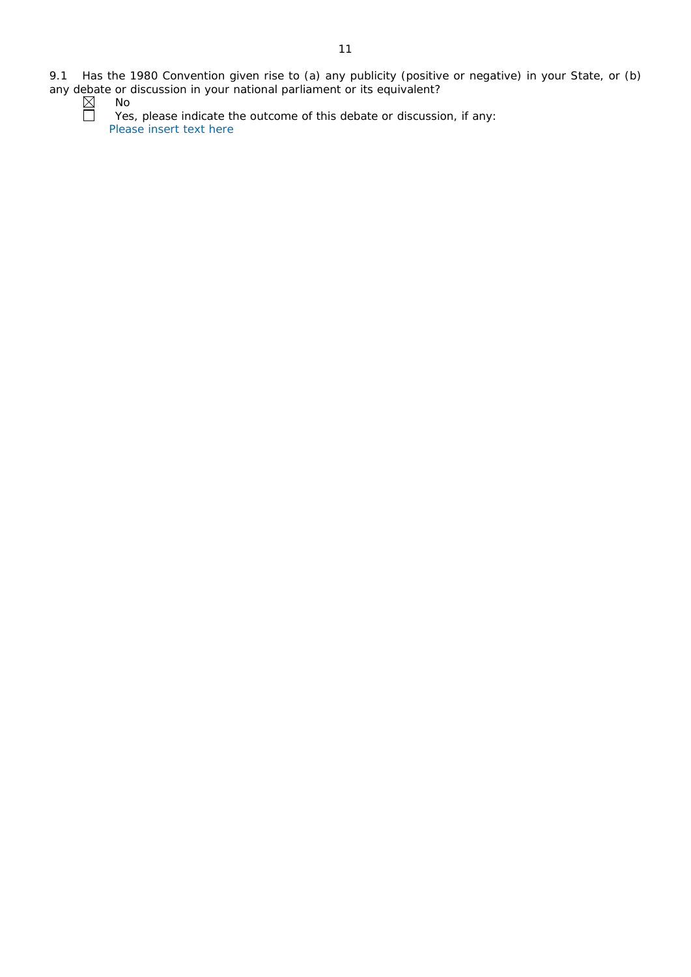No Yes, please indicate the outcome of this debate or discussion, if any: Please insert text here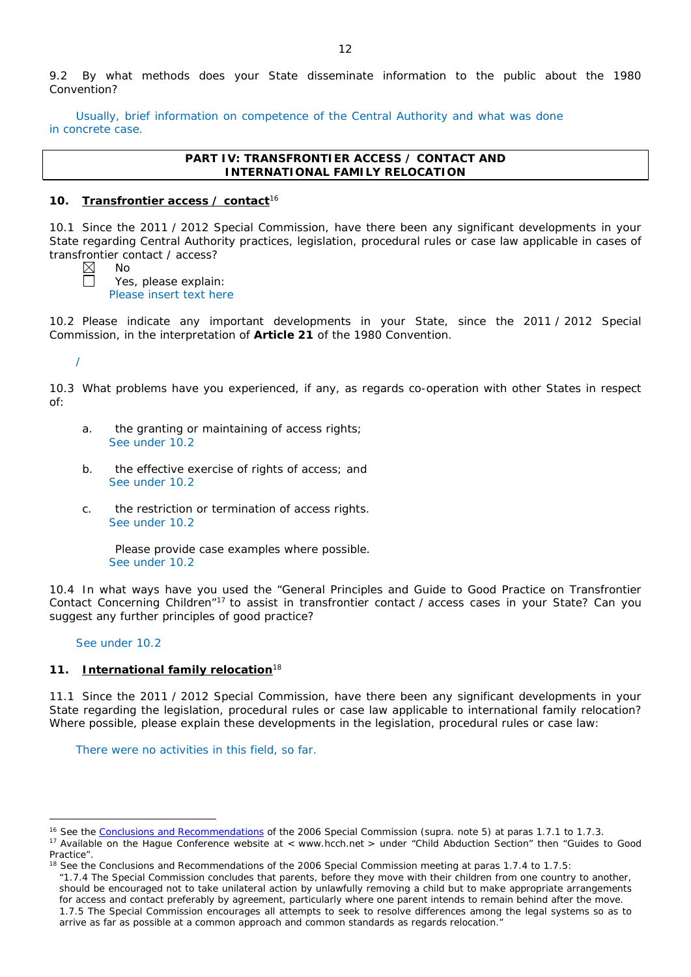9.2 By what methods does your State disseminate information to the public about the 1980 Convention?

Usually, brief information on competence of the Central Authority and what was done in concrete case.

#### **PART IV: TRANSFRONTIER ACCESS / CONTACT AND INTERNATIONAL FAMILY RELOCATION**

#### **10. Transfrontier access / contact**<sup>16</sup>

10.1 Since the 2011 / 2012 Special Commission, have there been any significant developments in your State regarding Central Authority practices, legislation, procedural rules or case law applicable in cases of transfrontier contact / access?

No Yes, please explain: Please insert text here

10.2 Please indicate any important developments in your State, since the 2011 / 2012 Special Commission, in the interpretation of **Article 21** of the 1980 Convention.

/

10.3 What problems have you experienced, if any, as regards co-operation with other States in respect of:

- a. the granting or maintaining of access rights; See under 10.2
- b. the effective exercise of rights of access; and See under 10.2
- c. the restriction or termination of access rights. See under 10.2

Please provide case examples where possible. See under 10.2

10.4 In what ways have you used the "General Principles and Guide to Good Practice on Transfrontier Contact Concerning Children"17 to assist in transfrontier contact / access cases in your State? Can you suggest any further principles of good practice?

#### See under 10.2

 $\overline{a}$ 

#### **11. International family relocation**<sup>18</sup>

11.1 Since the 2011 / 2012 Special Commission, have there been any significant developments in your State regarding the legislation, procedural rules or case law applicable to international family relocation? Where possible, please explain these developments in the legislation, procedural rules or case law:

There were no activities in this field, so far.

<sup>16</sup> See the [Conclusions and Recommendations](https://assets.hcch.net/upload/concl28sc5_e.pdf) of the 2006 Special Commission (*supra.* note 5) at paras 1.7.1 to 1.7.3.

<sup>&</sup>lt;sup>17</sup> Available on the Hague Conference website at < www.hcch.net > under "Child Abduction Section" then "Guides to Good Practice".

 $18$  See the Conclusions and Recommendations of the 2006 Special Commission meeting at paras 1.7.4 to 1.7.5:

*<sup>&</sup>quot;*1.7.4 The Special Commission concludes that parents, before they move with their children from one country to another, should be encouraged not to take unilateral action by unlawfully removing a child but to make appropriate arrangements for access and contact preferably by agreement, particularly where one parent intends to remain behind after the move. 1.7.5 The Special Commission encourages all attempts to seek to resolve differences among the legal systems so as to arrive as far as possible at a common approach and common standards as regards relocation."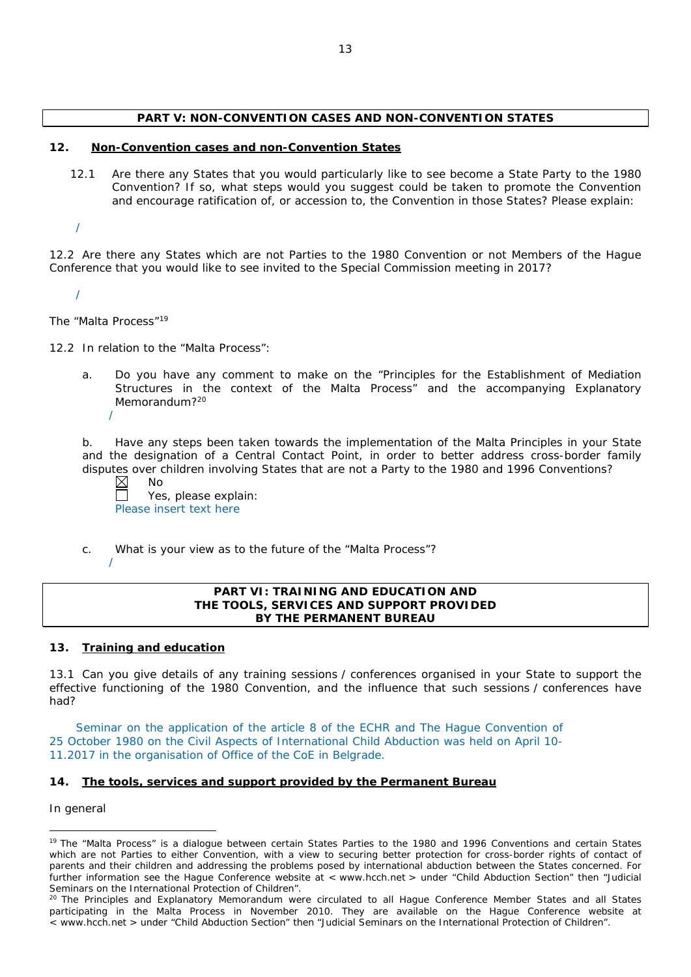## **PART V: NON-CONVENTION CASES AND NON-CONVENTION STATES**

#### **12. Non-Convention cases and non-Convention States**

12.1 Are there any States that you would particularly like to see become a State Party to the 1980 Convention? If so, what steps would you suggest could be taken to promote the Convention and encourage ratification of, or accession to, the Convention in those States? Please explain:

/

12.2 Are there any States which are not Parties to the 1980 Convention or not Members of the Hague Conference that you would like to see invited to the Special Commission meeting in 2017?

/

*The "Malta Process"*<sup>19</sup>

/

12.2 In relation to the "Malta Process":

a. Do you have any comment to make on the "Principles for the Establishment of Mediation Structures in the context of the Malta Process" and the accompanying Explanatory Memorandum?<sup>20</sup>

b. Have any steps been taken towards the implementation of the Malta Principles in your State and the designation of a Central Contact Point, in order to better address cross-border family disputes over children involving States that are not a Party to the 1980 and 1996 Conventions?

 $\boxtimes$ No

Yes, please explain: Please insert text here

c. What is your view as to the future of the "Malta Process"?

/

#### **PART VI: TRAINING AND EDUCATION AND THE TOOLS, SERVICES AND SUPPORT PROVIDED BY THE PERMANENT BUREAU**

# **13. Training and education**

13.1 Can you give details of any training sessions / conferences organised in your State to support the effective functioning of the 1980 Convention, and the influence that such sessions / conferences have had?

Seminar on the application of the article 8 of the ECHR and The Hague Convention of 25 October 1980 on the Civil Aspects of International Child Abduction was held on April 10- 11.2017 in the organisation of Office of the CoE in Belgrade.

# **14. The tools, services and support provided by the Permanent Bureau**

*In general*

 $\overline{a}$ 

<sup>&</sup>lt;sup>19</sup> The "Malta Process" is a dialogue between certain States Parties to the 1980 and 1996 Conventions and certain States which are not Parties to either Convention, with a view to securing better protection for cross-border rights of contact of parents and their children and addressing the problems posed by international abduction between the States concerned. For further information see the Hague Conference website at < www.hcch.net > under "Child Abduction Section" then "Judicial Seminars on the International Protection of Children".

<sup>&</sup>lt;sup>20</sup> The Principles and Explanatory Memorandum were circulated to all Hague Conference Member States and all States participating in the Malta Process in November 2010. They are available on the Hague Conference website at < www.hcch.net > under "Child Abduction Section" then "Judicial Seminars on the International Protection of Children".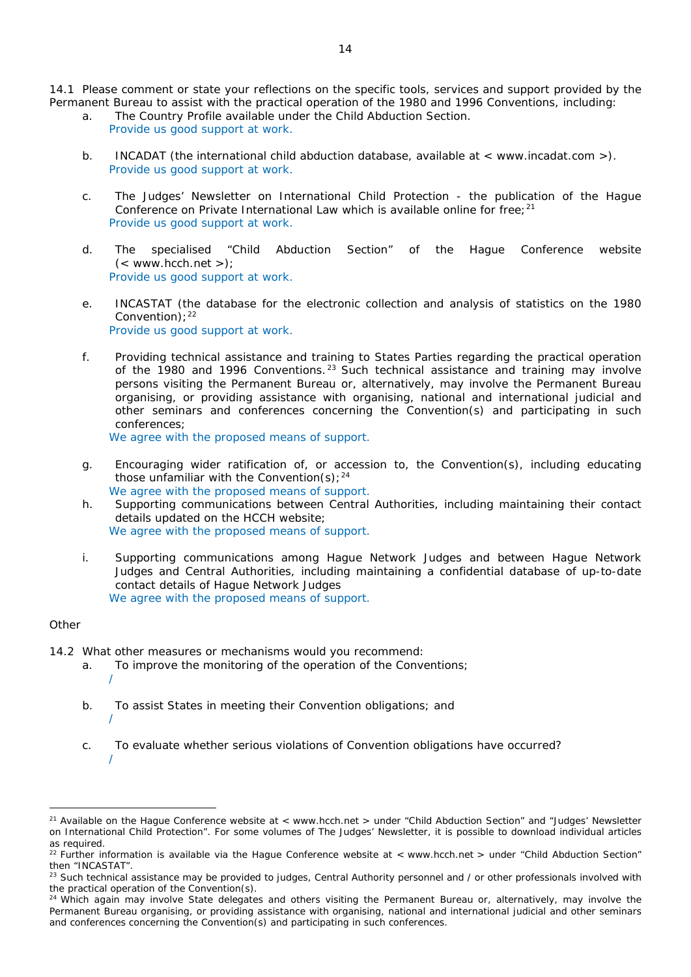14.1 Please comment or state your reflections on the specific tools, services and support provided by the Permanent Bureau to assist with the practical operation of the 1980 and 1996 Conventions, including:

- a. The Country Profile available under the Child Abduction Section. Provide us good support at work.
- b. INCADAT (the international child abduction database, available at < www.incadat.com >). Provide us good support at work.
- c. *The Judges' Newsletter* on International Child Protection the publication of the Hague Conference on Private International Law which is available online for free;  $21$ Provide us good support at work.
- d. The specialised "Child Abduction Section" of the Hague Conference website  $(<$  www.hcch.net >); Provide us good support at work.
- e. INCASTAT (the database for the electronic collection and analysis of statistics on the 1980 Convention);  $22$ Provide us good support at work.
- f. Providing technical assistance and training to States Parties regarding the practical operation of the 1980 and 1996 Conventions.<sup>23</sup> Such technical assistance and training may involve persons visiting the Permanent Bureau or, alternatively, may involve the Permanent Bureau organising, or providing assistance with organising, national and international judicial and other seminars and conferences concerning the Convention(s) and participating in such conferences;

We agree with the proposed means of support.

- g. Encouraging wider ratification of, or accession to, the Convention(s), including educating those unfamiliar with the Convention(s);  $24$ We agree with the proposed means of support.
- h. Supporting communications between Central Authorities, including maintaining their contact details updated on the HCCH website; We agree with the proposed means of support.
- i. Supporting communications among Hague Network Judges and between Hague Network Judges and Central Authorities, including maintaining a confidential database of up-to-date contact details of Hague Network Judges We agree with the proposed means of support.

#### *Other*

 $\overline{a}$ 

/

- 14.2 What other measures or mechanisms would you recommend:
	- a. To improve the monitoring of the operation of the Conventions; /
	- b. To assist States in meeting their Convention obligations; and
	- c. To evaluate whether serious violations of Convention obligations have occurred? /

<sup>&</sup>lt;sup>21</sup> Available on the Hague Conference website at < www.hcch.net > under "Child Abduction Section" and "Judges' Newsletter on International Child Protection". For some volumes of *The Judges' Newsletter*, it is possible to download individual articles as required.

<sup>&</sup>lt;sup>22</sup> Further information is available via the Hague Conference website at < www.hcch.net > under "Child Abduction Section" then "INCASTAT".

<sup>&</sup>lt;sup>23</sup> Such technical assistance may be provided to judges, Central Authority personnel and / or other professionals involved with the practical operation of the Convention(s).

 $24$  Which again may involve State delegates and others visiting the Permanent Bureau or, alternatively, may involve the Permanent Bureau organising, or providing assistance with organising, national and international judicial and other seminars and conferences concerning the Convention(s) and participating in such conferences.